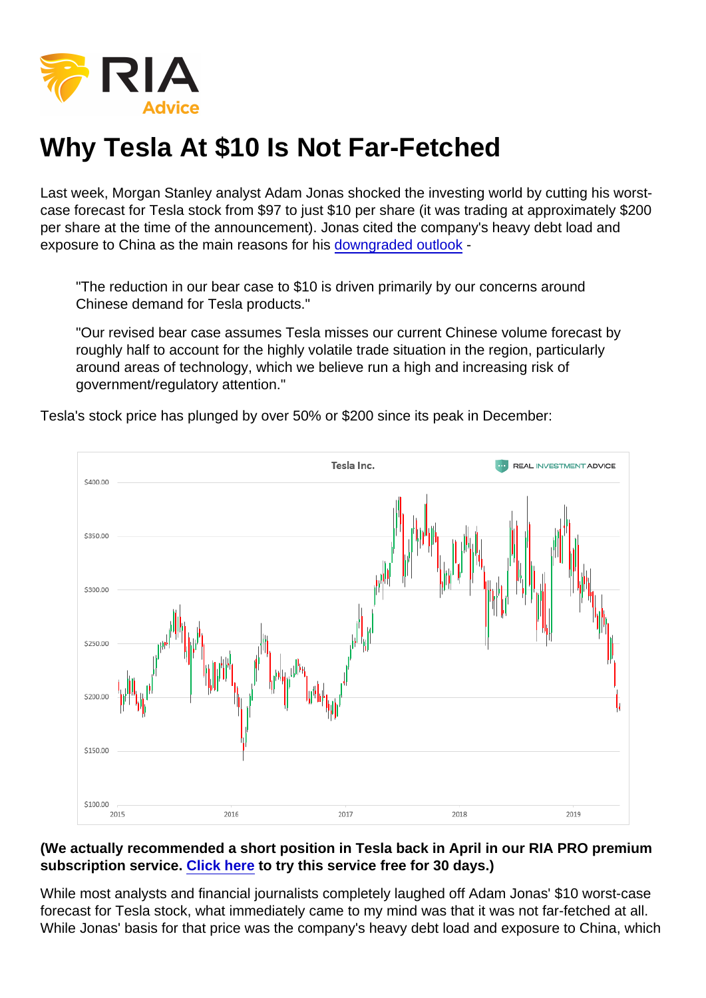## Why Tesla At \$10 Is Not Far-Fetched

Last week, Morgan Stanley analyst Adam Jonas shocked the investing world by cutting his worstcase forecast for Tesla stock from \$97 to just \$10 per share (it was trading at approximately \$200 per share at the time of the announcement). Jonas cited the company's heavy debt load and exposure to China as the main reasons for his [downgraded outlook](https://markets.businessinsider.com/news/stocks/tesla-stock-price-morgan-stanley-bear-price-target-lowered-10-2019-5-1028217695) -

"The reduction in our bear case to \$10 is driven primarily by our concerns around Chinese demand for Tesla products."

"Our revised bear case assumes Tesla misses our current Chinese volume forecast by roughly half to account for the highly volatile trade situation in the region, particularly around areas of technology, which we believe run a high and increasing risk of government/regulatory attention."

Tesla's stock price has plunged by over 50% or \$200 since its peak in December:

(We actually recommended a short position in Tesla back in April in our RIA PRO premium subscription service. [Click here](https://riapro.net/) to try this service free for 30 days.)

While most analysts and financial journalists completely laughed off Adam Jonas' \$10 worst-case forecast for Tesla stock, what immediately came to my mind was that it was not far-fetched at all. While Jonas' basis for that price was the company's heavy debt load and exposure to China, which